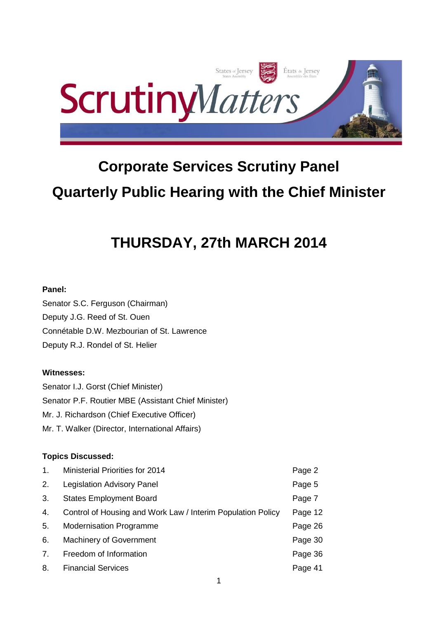

# **Corporate Services Scrutiny Panel Quarterly Public Hearing with the Chief Minister**

# **THURSDAY, 27th MARCH 2014**

## **Panel:**

Senator S.C. Ferguson (Chairman) Deputy J.G. Reed of St. Ouen Connétable D.W. Mezbourian of St. Lawrence Deputy R.J. Rondel of St. Helier

## **Witnesses:**

Senator I.J. Gorst (Chief Minister) Senator P.F. Routier MBE (Assistant Chief Minister) Mr. J. Richardson (Chief Executive Officer) Mr. T. Walker (Director, International Affairs)

## **Topics Discussed:**

| 1. | Ministerial Priorities for 2014                             | Page 2  |
|----|-------------------------------------------------------------|---------|
| 2. | <b>Legislation Advisory Panel</b>                           | Page 5  |
| 3. | <b>States Employment Board</b>                              | Page 7  |
| 4. | Control of Housing and Work Law / Interim Population Policy | Page 12 |
| 5. | <b>Modernisation Programme</b>                              | Page 26 |
| 6. | <b>Machinery of Government</b>                              | Page 30 |
| 7. | Freedom of Information                                      | Page 36 |
| 8. | <b>Financial Services</b>                                   | Page 41 |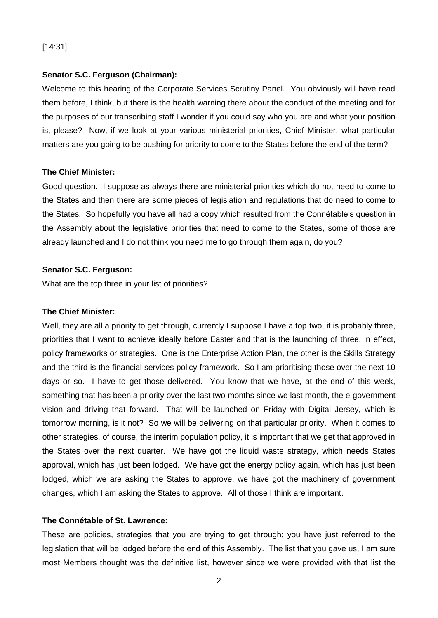## [14:31]

#### **Senator S.C. Ferguson (Chairman):**

Welcome to this hearing of the Corporate Services Scrutiny Panel. You obviously will have read them before, I think, but there is the health warning there about the conduct of the meeting and for the purposes of our transcribing staff I wonder if you could say who you are and what your position is, please? Now, if we look at your various ministerial priorities, Chief Minister, what particular matters are you going to be pushing for priority to come to the States before the end of the term?

#### **The Chief Minister:**

Good question. I suppose as always there are ministerial priorities which do not need to come to the States and then there are some pieces of legislation and regulations that do need to come to the States. So hopefully you have all had a copy which resulted from the Connétable's question in the Assembly about the legislative priorities that need to come to the States, some of those are already launched and I do not think you need me to go through them again, do you?

#### **Senator S.C. Ferguson:**

What are the top three in your list of priorities?

#### **The Chief Minister:**

Well, they are all a priority to get through, currently I suppose I have a top two, it is probably three, priorities that I want to achieve ideally before Easter and that is the launching of three, in effect, policy frameworks or strategies. One is the Enterprise Action Plan, the other is the Skills Strategy and the third is the financial services policy framework. So I am prioritising those over the next 10 days or so. I have to get those delivered. You know that we have, at the end of this week, something that has been a priority over the last two months since we last month, the e-government vision and driving that forward. That will be launched on Friday with Digital Jersey, which is tomorrow morning, is it not? So we will be delivering on that particular priority. When it comes to other strategies, of course, the interim population policy, it is important that we get that approved in the States over the next quarter. We have got the liquid waste strategy, which needs States approval, which has just been lodged. We have got the energy policy again, which has just been lodged, which we are asking the States to approve, we have got the machinery of government changes, which I am asking the States to approve. All of those I think are important.

## **The Connétable of St. Lawrence:**

These are policies, strategies that you are trying to get through; you have just referred to the legislation that will be lodged before the end of this Assembly. The list that you gave us, I am sure most Members thought was the definitive list, however since we were provided with that list the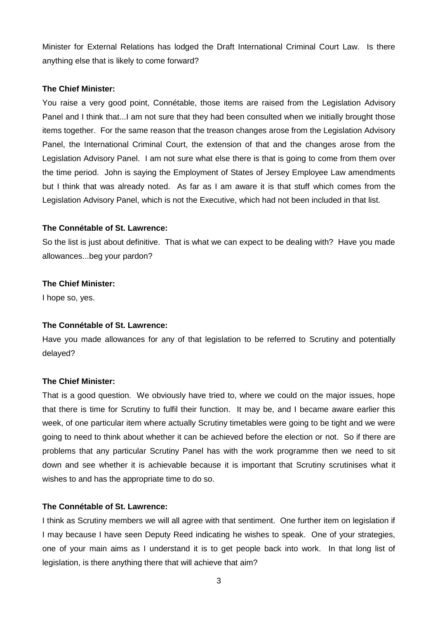Minister for External Relations has lodged the Draft International Criminal Court Law. Is there anything else that is likely to come forward?

#### **The Chief Minister:**

You raise a very good point, Connétable, those items are raised from the Legislation Advisory Panel and I think that...I am not sure that they had been consulted when we initially brought those items together. For the same reason that the treason changes arose from the Legislation Advisory Panel, the International Criminal Court, the extension of that and the changes arose from the Legislation Advisory Panel. I am not sure what else there is that is going to come from them over the time period. John is saying the Employment of States of Jersey Employee Law amendments but I think that was already noted. As far as I am aware it is that stuff which comes from the Legislation Advisory Panel, which is not the Executive, which had not been included in that list.

#### **The Connétable of St. Lawrence:**

So the list is just about definitive. That is what we can expect to be dealing with? Have you made allowances...beg your pardon?

#### **The Chief Minister:**

I hope so, yes.

#### **The Connétable of St. Lawrence:**

Have you made allowances for any of that legislation to be referred to Scrutiny and potentially delayed?

#### **The Chief Minister:**

That is a good question. We obviously have tried to, where we could on the major issues, hope that there is time for Scrutiny to fulfil their function. It may be, and I became aware earlier this week, of one particular item where actually Scrutiny timetables were going to be tight and we were going to need to think about whether it can be achieved before the election or not. So if there are problems that any particular Scrutiny Panel has with the work programme then we need to sit down and see whether it is achievable because it is important that Scrutiny scrutinises what it wishes to and has the appropriate time to do so.

#### **The Connétable of St. Lawrence:**

I think as Scrutiny members we will all agree with that sentiment. One further item on legislation if I may because I have seen Deputy Reed indicating he wishes to speak. One of your strategies, one of your main aims as I understand it is to get people back into work. In that long list of legislation, is there anything there that will achieve that aim?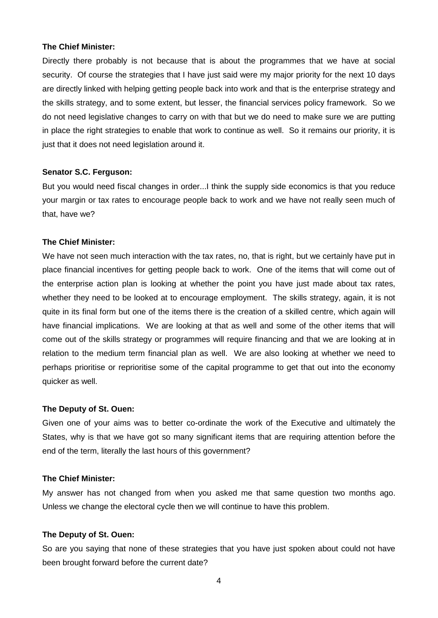Directly there probably is not because that is about the programmes that we have at social security. Of course the strategies that I have just said were my major priority for the next 10 days are directly linked with helping getting people back into work and that is the enterprise strategy and the skills strategy, and to some extent, but lesser, the financial services policy framework. So we do not need legislative changes to carry on with that but we do need to make sure we are putting in place the right strategies to enable that work to continue as well. So it remains our priority, it is just that it does not need legislation around it.

#### **Senator S.C. Ferguson:**

But you would need fiscal changes in order...I think the supply side economics is that you reduce your margin or tax rates to encourage people back to work and we have not really seen much of that, have we?

#### **The Chief Minister:**

We have not seen much interaction with the tax rates, no, that is right, but we certainly have put in place financial incentives for getting people back to work. One of the items that will come out of the enterprise action plan is looking at whether the point you have just made about tax rates, whether they need to be looked at to encourage employment. The skills strategy, again, it is not quite in its final form but one of the items there is the creation of a skilled centre, which again will have financial implications. We are looking at that as well and some of the other items that will come out of the skills strategy or programmes will require financing and that we are looking at in relation to the medium term financial plan as well. We are also looking at whether we need to perhaps prioritise or reprioritise some of the capital programme to get that out into the economy quicker as well.

#### **The Deputy of St. Ouen:**

Given one of your aims was to better co-ordinate the work of the Executive and ultimately the States, why is that we have got so many significant items that are requiring attention before the end of the term, literally the last hours of this government?

#### **The Chief Minister:**

My answer has not changed from when you asked me that same question two months ago. Unless we change the electoral cycle then we will continue to have this problem.

#### **The Deputy of St. Ouen:**

So are you saying that none of these strategies that you have just spoken about could not have been brought forward before the current date?

4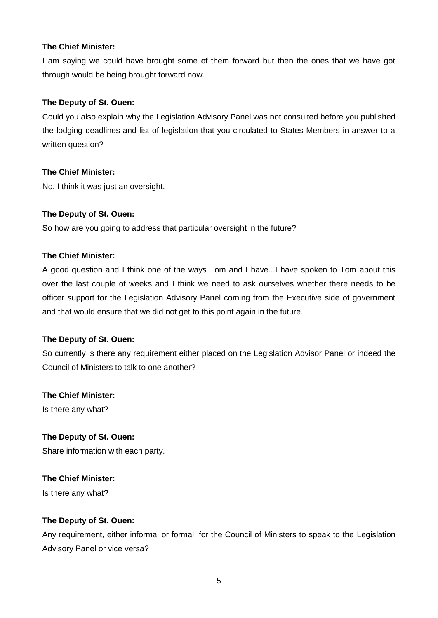I am saying we could have brought some of them forward but then the ones that we have got through would be being brought forward now.

## **The Deputy of St. Ouen:**

Could you also explain why the Legislation Advisory Panel was not consulted before you published the lodging deadlines and list of legislation that you circulated to States Members in answer to a written question?

## **The Chief Minister:**

No, I think it was just an oversight.

## **The Deputy of St. Ouen:**

So how are you going to address that particular oversight in the future?

## **The Chief Minister:**

A good question and I think one of the ways Tom and I have...I have spoken to Tom about this over the last couple of weeks and I think we need to ask ourselves whether there needs to be officer support for the Legislation Advisory Panel coming from the Executive side of government and that would ensure that we did not get to this point again in the future.

## **The Deputy of St. Ouen:**

So currently is there any requirement either placed on the Legislation Advisor Panel or indeed the Council of Ministers to talk to one another?

## **The Chief Minister:**

Is there any what?

## **The Deputy of St. Ouen:**

Share information with each party.

## **The Chief Minister:**

Is there any what?

## **The Deputy of St. Ouen:**

Any requirement, either informal or formal, for the Council of Ministers to speak to the Legislation Advisory Panel or vice versa?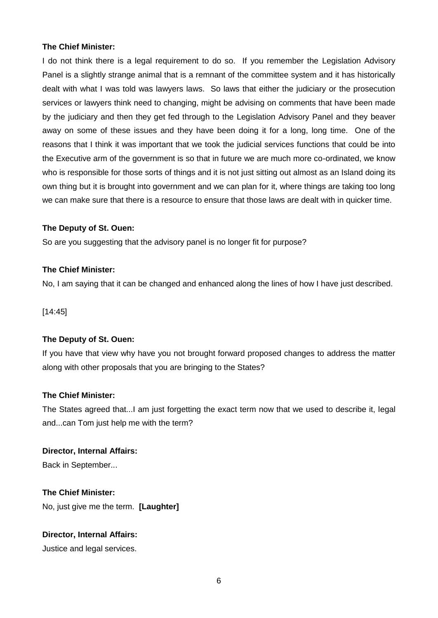I do not think there is a legal requirement to do so. If you remember the Legislation Advisory Panel is a slightly strange animal that is a remnant of the committee system and it has historically dealt with what I was told was lawyers laws. So laws that either the judiciary or the prosecution services or lawyers think need to changing, might be advising on comments that have been made by the judiciary and then they get fed through to the Legislation Advisory Panel and they beaver away on some of these issues and they have been doing it for a long, long time. One of the reasons that I think it was important that we took the judicial services functions that could be into the Executive arm of the government is so that in future we are much more co-ordinated, we know who is responsible for those sorts of things and it is not just sitting out almost as an Island doing its own thing but it is brought into government and we can plan for it, where things are taking too long we can make sure that there is a resource to ensure that those laws are dealt with in quicker time.

## **The Deputy of St. Ouen:**

So are you suggesting that the advisory panel is no longer fit for purpose?

## **The Chief Minister:**

No, I am saying that it can be changed and enhanced along the lines of how I have just described.

[14:45]

## **The Deputy of St. Ouen:**

If you have that view why have you not brought forward proposed changes to address the matter along with other proposals that you are bringing to the States?

## **The Chief Minister:**

The States agreed that...I am just forgetting the exact term now that we used to describe it, legal and...can Tom just help me with the term?

## **Director, Internal Affairs:**

Back in September...

**The Chief Minister:** No, just give me the term. **[Laughter]**

**Director, Internal Affairs:** Justice and legal services.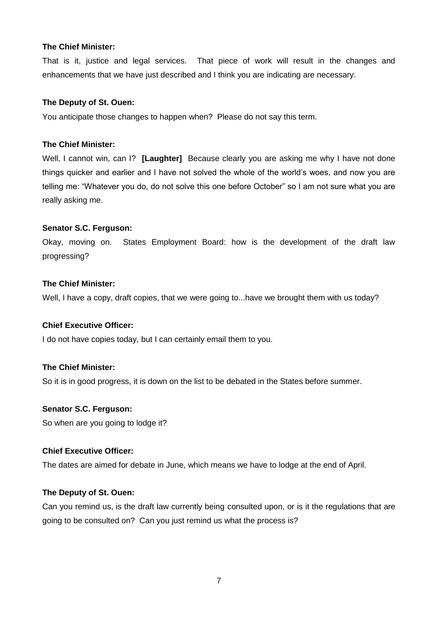That is it, justice and legal services. That piece of work will result in the changes and enhancements that we have just described and I think you are indicating are necessary.

#### **The Deputy of St. Ouen:**

You anticipate those changes to happen when? Please do not say this term.

#### **The Chief Minister:**

Well, I cannot win, can I? **[Laughter]** Because clearly you are asking me why I have not done things quicker and earlier and I have not solved the whole of the world's woes, and now you are telling me: "Whatever you do, do not solve this one before October" so I am not sure what you are really asking me.

## **Senator S.C. Ferguson:**

Okay, moving on. States Employment Board: how is the development of the draft law progressing?

#### **The Chief Minister:**

Well, I have a copy, draft copies, that we were going to...have we brought them with us today?

#### **Chief Executive Officer:**

I do not have copies today, but I can certainly email them to you.

## **The Chief Minister:**

So it is in good progress, it is down on the list to be debated in the States before summer.

#### **Senator S.C. Ferguson:**

So when are you going to lodge it?

#### **Chief Executive Officer:**

The dates are aimed for debate in June, which means we have to lodge at the end of April.

#### **The Deputy of St. Ouen:**

Can you remind us, is the draft law currently being consulted upon, or is it the regulations that are going to be consulted on? Can you just remind us what the process is?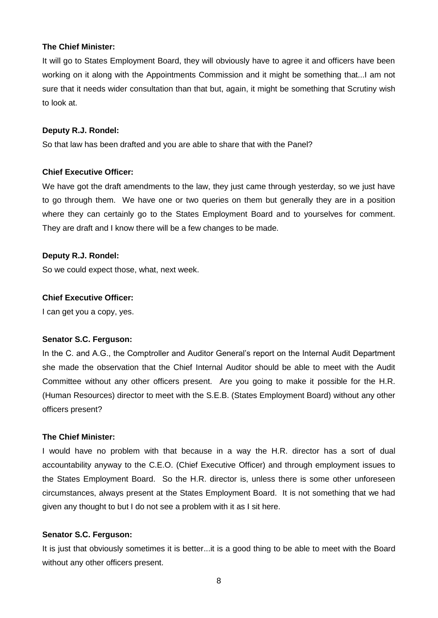It will go to States Employment Board, they will obviously have to agree it and officers have been working on it along with the Appointments Commission and it might be something that...I am not sure that it needs wider consultation than that but, again, it might be something that Scrutiny wish to look at.

#### **Deputy R.J. Rondel:**

So that law has been drafted and you are able to share that with the Panel?

#### **Chief Executive Officer:**

We have got the draft amendments to the law, they just came through yesterday, so we just have to go through them. We have one or two queries on them but generally they are in a position where they can certainly go to the States Employment Board and to yourselves for comment. They are draft and I know there will be a few changes to be made.

#### **Deputy R.J. Rondel:**

So we could expect those, what, next week.

#### **Chief Executive Officer:**

I can get you a copy, yes.

#### **Senator S.C. Ferguson:**

In the C. and A.G., the Comptroller and Auditor General's report on the Internal Audit Department she made the observation that the Chief Internal Auditor should be able to meet with the Audit Committee without any other officers present. Are you going to make it possible for the H.R. (Human Resources) director to meet with the S.E.B. (States Employment Board) without any other officers present?

#### **The Chief Minister:**

I would have no problem with that because in a way the H.R. director has a sort of dual accountability anyway to the C.E.O. (Chief Executive Officer) and through employment issues to the States Employment Board. So the H.R. director is, unless there is some other unforeseen circumstances, always present at the States Employment Board. It is not something that we had given any thought to but I do not see a problem with it as I sit here.

#### **Senator S.C. Ferguson:**

It is just that obviously sometimes it is better...it is a good thing to be able to meet with the Board without any other officers present.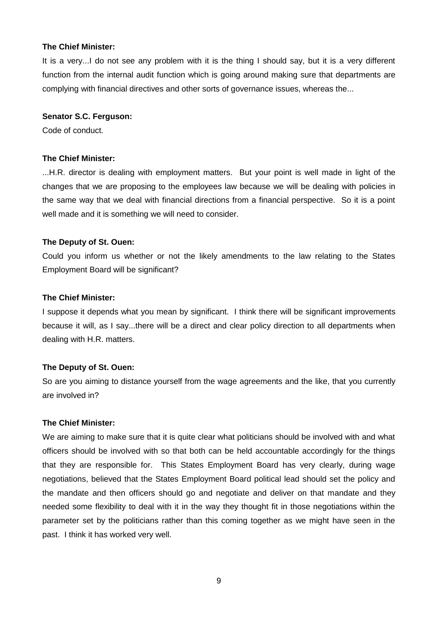It is a very...I do not see any problem with it is the thing I should say, but it is a very different function from the internal audit function which is going around making sure that departments are complying with financial directives and other sorts of governance issues, whereas the...

#### **Senator S.C. Ferguson:**

Code of conduct.

#### **The Chief Minister:**

...H.R. director is dealing with employment matters. But your point is well made in light of the changes that we are proposing to the employees law because we will be dealing with policies in the same way that we deal with financial directions from a financial perspective. So it is a point well made and it is something we will need to consider.

#### **The Deputy of St. Ouen:**

Could you inform us whether or not the likely amendments to the law relating to the States Employment Board will be significant?

#### **The Chief Minister:**

I suppose it depends what you mean by significant. I think there will be significant improvements because it will, as I say...there will be a direct and clear policy direction to all departments when dealing with H.R. matters.

#### **The Deputy of St. Ouen:**

So are you aiming to distance yourself from the wage agreements and the like, that you currently are involved in?

#### **The Chief Minister:**

We are aiming to make sure that it is quite clear what politicians should be involved with and what officers should be involved with so that both can be held accountable accordingly for the things that they are responsible for. This States Employment Board has very clearly, during wage negotiations, believed that the States Employment Board political lead should set the policy and the mandate and then officers should go and negotiate and deliver on that mandate and they needed some flexibility to deal with it in the way they thought fit in those negotiations within the parameter set by the politicians rather than this coming together as we might have seen in the past. I think it has worked very well.

9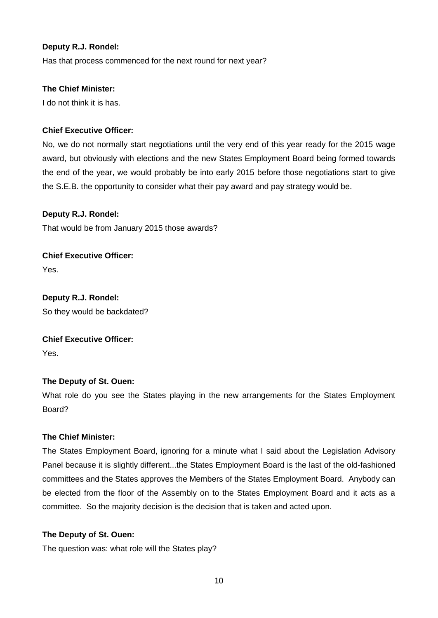## **Deputy R.J. Rondel:**

Has that process commenced for the next round for next year?

## **The Chief Minister:**

I do not think it is has.

## **Chief Executive Officer:**

No, we do not normally start negotiations until the very end of this year ready for the 2015 wage award, but obviously with elections and the new States Employment Board being formed towards the end of the year, we would probably be into early 2015 before those negotiations start to give the S.E.B. the opportunity to consider what their pay award and pay strategy would be.

## **Deputy R.J. Rondel:**

That would be from January 2015 those awards?

**Chief Executive Officer:**  Yes.

**Deputy R.J. Rondel:** So they would be backdated?

## **Chief Executive Officer:**

Yes.

## **The Deputy of St. Ouen:**

What role do you see the States playing in the new arrangements for the States Employment Board?

## **The Chief Minister:**

The States Employment Board, ignoring for a minute what I said about the Legislation Advisory Panel because it is slightly different...the States Employment Board is the last of the old-fashioned committees and the States approves the Members of the States Employment Board. Anybody can be elected from the floor of the Assembly on to the States Employment Board and it acts as a committee. So the majority decision is the decision that is taken and acted upon.

## **The Deputy of St. Ouen:**

The question was: what role will the States play?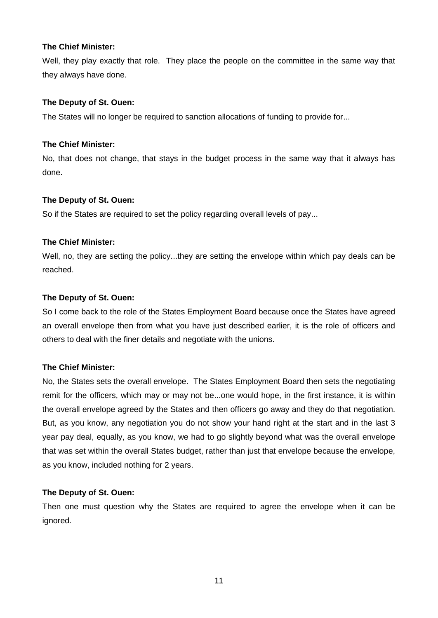Well, they play exactly that role. They place the people on the committee in the same way that they always have done.

#### **The Deputy of St. Ouen:**

The States will no longer be required to sanction allocations of funding to provide for...

#### **The Chief Minister:**

No, that does not change, that stays in the budget process in the same way that it always has done.

#### **The Deputy of St. Ouen:**

So if the States are required to set the policy regarding overall levels of pay...

#### **The Chief Minister:**

Well, no, they are setting the policy...they are setting the envelope within which pay deals can be reached.

#### **The Deputy of St. Ouen:**

So I come back to the role of the States Employment Board because once the States have agreed an overall envelope then from what you have just described earlier, it is the role of officers and others to deal with the finer details and negotiate with the unions.

## **The Chief Minister:**

No, the States sets the overall envelope. The States Employment Board then sets the negotiating remit for the officers, which may or may not be...one would hope, in the first instance, it is within the overall envelope agreed by the States and then officers go away and they do that negotiation. But, as you know, any negotiation you do not show your hand right at the start and in the last 3 year pay deal, equally, as you know, we had to go slightly beyond what was the overall envelope that was set within the overall States budget, rather than just that envelope because the envelope, as you know, included nothing for 2 years.

#### **The Deputy of St. Ouen:**

Then one must question why the States are required to agree the envelope when it can be ignored.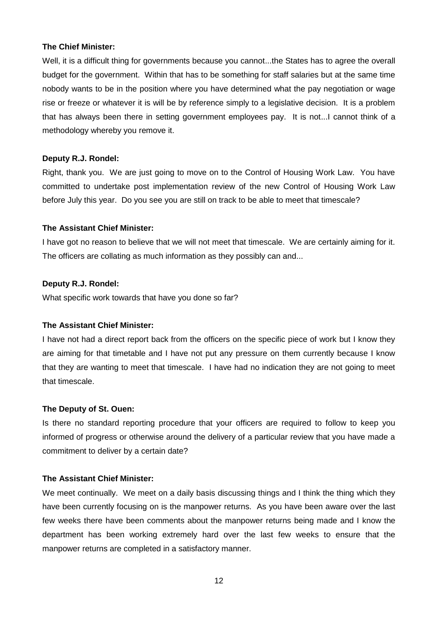Well, it is a difficult thing for governments because you cannot...the States has to agree the overall budget for the government. Within that has to be something for staff salaries but at the same time nobody wants to be in the position where you have determined what the pay negotiation or wage rise or freeze or whatever it is will be by reference simply to a legislative decision. It is a problem that has always been there in setting government employees pay. It is not...I cannot think of a methodology whereby you remove it.

#### **Deputy R.J. Rondel:**

Right, thank you. We are just going to move on to the Control of Housing Work Law. You have committed to undertake post implementation review of the new Control of Housing Work Law before July this year. Do you see you are still on track to be able to meet that timescale?

#### **The Assistant Chief Minister:**

I have got no reason to believe that we will not meet that timescale. We are certainly aiming for it. The officers are collating as much information as they possibly can and...

#### **Deputy R.J. Rondel:**

What specific work towards that have you done so far?

## **The Assistant Chief Minister:**

I have not had a direct report back from the officers on the specific piece of work but I know they are aiming for that timetable and I have not put any pressure on them currently because I know that they are wanting to meet that timescale. I have had no indication they are not going to meet that timescale.

#### **The Deputy of St. Ouen:**

Is there no standard reporting procedure that your officers are required to follow to keep you informed of progress or otherwise around the delivery of a particular review that you have made a commitment to deliver by a certain date?

## **The Assistant Chief Minister:**

We meet continually. We meet on a daily basis discussing things and I think the thing which they have been currently focusing on is the manpower returns. As you have been aware over the last few weeks there have been comments about the manpower returns being made and I know the department has been working extremely hard over the last few weeks to ensure that the manpower returns are completed in a satisfactory manner.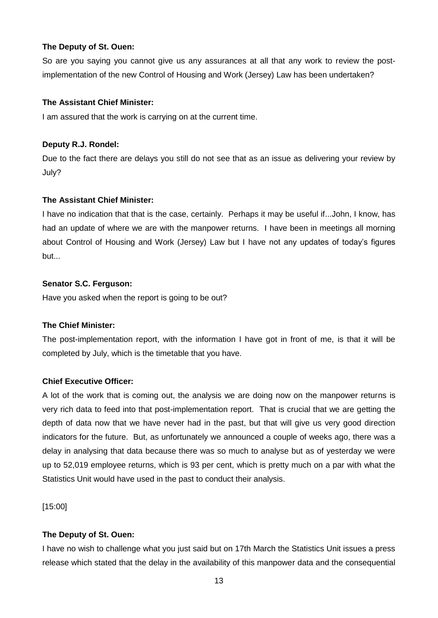So are you saying you cannot give us any assurances at all that any work to review the postimplementation of the new Control of Housing and Work (Jersey) Law has been undertaken?

## **The Assistant Chief Minister:**

I am assured that the work is carrying on at the current time.

## **Deputy R.J. Rondel:**

Due to the fact there are delays you still do not see that as an issue as delivering your review by July?

## **The Assistant Chief Minister:**

I have no indication that that is the case, certainly. Perhaps it may be useful if...John, I know, has had an update of where we are with the manpower returns. I have been in meetings all morning about Control of Housing and Work (Jersey) Law but I have not any updates of today's figures but...

## **Senator S.C. Ferguson:**

Have you asked when the report is going to be out?

## **The Chief Minister:**

The post-implementation report, with the information I have got in front of me, is that it will be completed by July, which is the timetable that you have.

## **Chief Executive Officer:**

A lot of the work that is coming out, the analysis we are doing now on the manpower returns is very rich data to feed into that post-implementation report. That is crucial that we are getting the depth of data now that we have never had in the past, but that will give us very good direction indicators for the future. But, as unfortunately we announced a couple of weeks ago, there was a delay in analysing that data because there was so much to analyse but as of yesterday we were up to 52,019 employee returns, which is 93 per cent, which is pretty much on a par with what the Statistics Unit would have used in the past to conduct their analysis.

[15:00]

## **The Deputy of St. Ouen:**

I have no wish to challenge what you just said but on 17th March the Statistics Unit issues a press release which stated that the delay in the availability of this manpower data and the consequential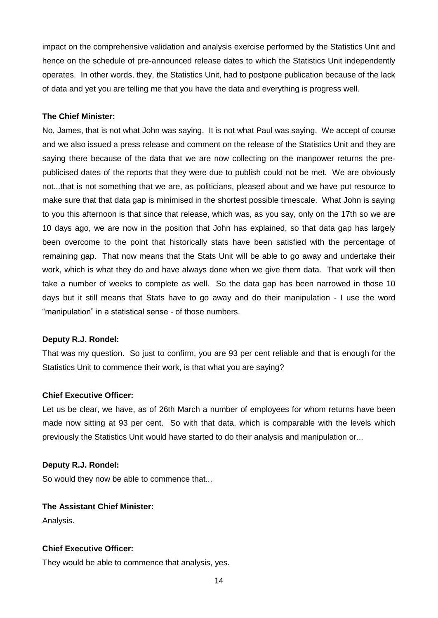impact on the comprehensive validation and analysis exercise performed by the Statistics Unit and hence on the schedule of pre-announced release dates to which the Statistics Unit independently operates. In other words, they, the Statistics Unit, had to postpone publication because of the lack of data and yet you are telling me that you have the data and everything is progress well.

## **The Chief Minister:**

No, James, that is not what John was saying. It is not what Paul was saying. We accept of course and we also issued a press release and comment on the release of the Statistics Unit and they are saying there because of the data that we are now collecting on the manpower returns the prepublicised dates of the reports that they were due to publish could not be met. We are obviously not...that is not something that we are, as politicians, pleased about and we have put resource to make sure that that data gap is minimised in the shortest possible timescale. What John is saying to you this afternoon is that since that release, which was, as you say, only on the 17th so we are 10 days ago, we are now in the position that John has explained, so that data gap has largely been overcome to the point that historically stats have been satisfied with the percentage of remaining gap. That now means that the Stats Unit will be able to go away and undertake their work, which is what they do and have always done when we give them data. That work will then take a number of weeks to complete as well. So the data gap has been narrowed in those 10 days but it still means that Stats have to go away and do their manipulation - I use the word "manipulation" in a statistical sense - of those numbers.

#### **Deputy R.J. Rondel:**

That was my question. So just to confirm, you are 93 per cent reliable and that is enough for the Statistics Unit to commence their work, is that what you are saying?

#### **Chief Executive Officer:**

Let us be clear, we have, as of 26th March a number of employees for whom returns have been made now sitting at 93 per cent. So with that data, which is comparable with the levels which previously the Statistics Unit would have started to do their analysis and manipulation or...

#### **Deputy R.J. Rondel:**

So would they now be able to commence that...

## **The Assistant Chief Minister:**

Analysis.

#### **Chief Executive Officer:**

They would be able to commence that analysis, yes.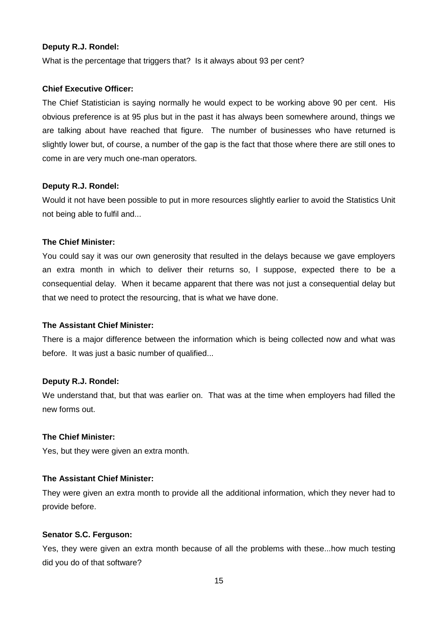#### **Deputy R.J. Rondel:**

What is the percentage that triggers that? Is it always about 93 per cent?

#### **Chief Executive Officer:**

The Chief Statistician is saying normally he would expect to be working above 90 per cent. His obvious preference is at 95 plus but in the past it has always been somewhere around, things we are talking about have reached that figure. The number of businesses who have returned is slightly lower but, of course, a number of the gap is the fact that those where there are still ones to come in are very much one-man operators.

#### **Deputy R.J. Rondel:**

Would it not have been possible to put in more resources slightly earlier to avoid the Statistics Unit not being able to fulfil and...

#### **The Chief Minister:**

You could say it was our own generosity that resulted in the delays because we gave employers an extra month in which to deliver their returns so, I suppose, expected there to be a consequential delay. When it became apparent that there was not just a consequential delay but that we need to protect the resourcing, that is what we have done.

#### **The Assistant Chief Minister:**

There is a major difference between the information which is being collected now and what was before. It was just a basic number of qualified...

#### **Deputy R.J. Rondel:**

We understand that, but that was earlier on. That was at the time when employers had filled the new forms out.

#### **The Chief Minister:**

Yes, but they were given an extra month.

## **The Assistant Chief Minister:**

They were given an extra month to provide all the additional information, which they never had to provide before.

#### **Senator S.C. Ferguson:**

Yes, they were given an extra month because of all the problems with these...how much testing did you do of that software?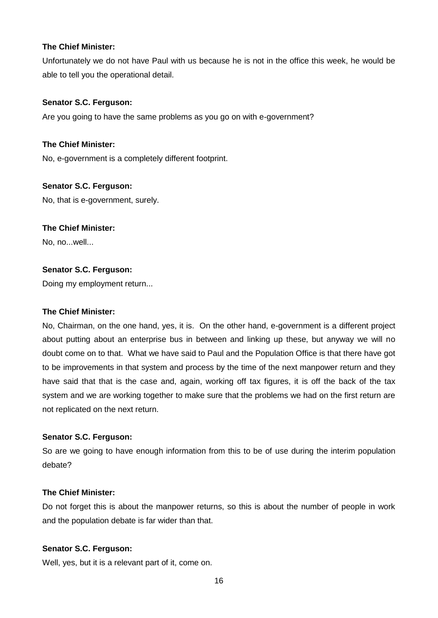Unfortunately we do not have Paul with us because he is not in the office this week, he would be able to tell you the operational detail.

#### **Senator S.C. Ferguson:**

Are you going to have the same problems as you go on with e-government?

#### **The Chief Minister:**

No, e-government is a completely different footprint.

#### **Senator S.C. Ferguson:**

No, that is e-government, surely.

#### **The Chief Minister:**

No, no...well...

## **Senator S.C. Ferguson:**

Doing my employment return...

#### **The Chief Minister:**

No, Chairman, on the one hand, yes, it is. On the other hand, e-government is a different project about putting about an enterprise bus in between and linking up these, but anyway we will no doubt come on to that. What we have said to Paul and the Population Office is that there have got to be improvements in that system and process by the time of the next manpower return and they have said that that is the case and, again, working off tax figures, it is off the back of the tax system and we are working together to make sure that the problems we had on the first return are not replicated on the next return.

#### **Senator S.C. Ferguson:**

So are we going to have enough information from this to be of use during the interim population debate?

#### **The Chief Minister:**

Do not forget this is about the manpower returns, so this is about the number of people in work and the population debate is far wider than that.

#### **Senator S.C. Ferguson:**

Well, yes, but it is a relevant part of it, come on.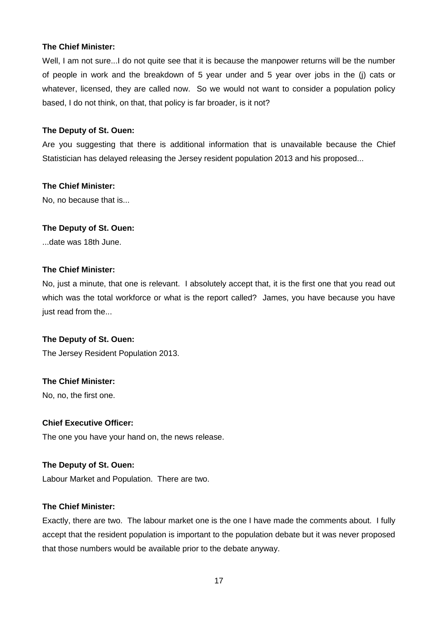Well, I am not sure...I do not quite see that it is because the manpower returns will be the number of people in work and the breakdown of 5 year under and 5 year over jobs in the (j) cats or whatever, licensed, they are called now. So we would not want to consider a population policy based, I do not think, on that, that policy is far broader, is it not?

#### **The Deputy of St. Ouen:**

Are you suggesting that there is additional information that is unavailable because the Chief Statistician has delayed releasing the Jersey resident population 2013 and his proposed...

#### **The Chief Minister:**

No, no because that is...

## **The Deputy of St. Ouen:**

...date was 18th June.

#### **The Chief Minister:**

No, just a minute, that one is relevant. I absolutely accept that, it is the first one that you read out which was the total workforce or what is the report called? James, you have because you have just read from the...

## **The Deputy of St. Ouen:**

The Jersey Resident Population 2013.

#### **The Chief Minister:**

No, no, the first one.

#### **Chief Executive Officer:**

The one you have your hand on, the news release.

## **The Deputy of St. Ouen:**

Labour Market and Population. There are two.

#### **The Chief Minister:**

Exactly, there are two. The labour market one is the one I have made the comments about. I fully accept that the resident population is important to the population debate but it was never proposed that those numbers would be available prior to the debate anyway.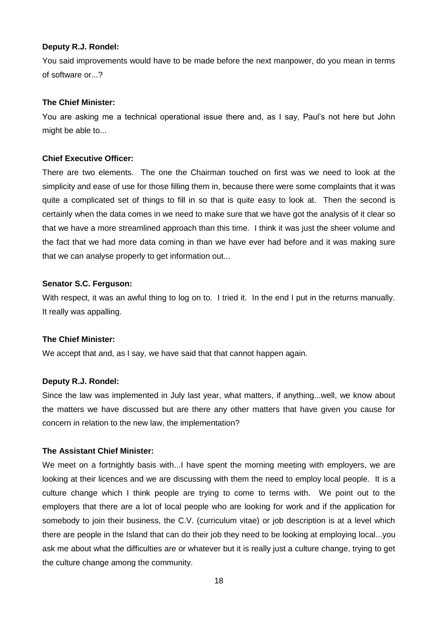#### **Deputy R.J. Rondel:**

You said improvements would have to be made before the next manpower, do you mean in terms of software or...?

#### **The Chief Minister:**

You are asking me a technical operational issue there and, as I say, Paul's not here but John might be able to...

## **Chief Executive Officer:**

There are two elements. The one the Chairman touched on first was we need to look at the simplicity and ease of use for those filling them in, because there were some complaints that it was quite a complicated set of things to fill in so that is quite easy to look at. Then the second is certainly when the data comes in we need to make sure that we have got the analysis of it clear so that we have a more streamlined approach than this time. I think it was just the sheer volume and the fact that we had more data coming in than we have ever had before and it was making sure that we can analyse properly to get information out...

#### **Senator S.C. Ferguson:**

With respect, it was an awful thing to log on to. I tried it. In the end I put in the returns manually. It really was appalling.

## **The Chief Minister:**

We accept that and, as I say, we have said that that cannot happen again.

#### **Deputy R.J. Rondel:**

Since the law was implemented in July last year, what matters, if anything...well, we know about the matters we have discussed but are there any other matters that have given you cause for concern in relation to the new law, the implementation?

## **The Assistant Chief Minister:**

We meet on a fortnightly basis with...I have spent the morning meeting with employers, we are looking at their licences and we are discussing with them the need to employ local people. It is a culture change which I think people are trying to come to terms with. We point out to the employers that there are a lot of local people who are looking for work and if the application for somebody to join their business, the C.V. (curriculum vitae) or job description is at a level which there are people in the Island that can do their job they need to be looking at employing local...you ask me about what the difficulties are or whatever but it is really just a culture change, trying to get the culture change among the community.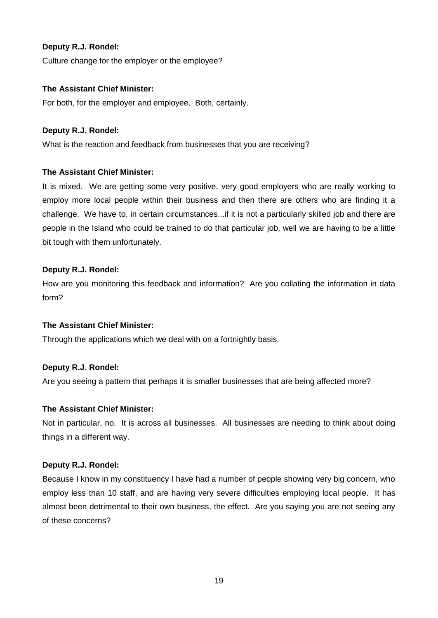## **Deputy R.J. Rondel:**

Culture change for the employer or the employee?

#### **The Assistant Chief Minister:**

For both, for the employer and employee. Both, certainly.

#### **Deputy R.J. Rondel:**

What is the reaction and feedback from businesses that you are receiving?

## **The Assistant Chief Minister:**

It is mixed. We are getting some very positive, very good employers who are really working to employ more local people within their business and then there are others who are finding it a challenge. We have to, in certain circumstances...if it is not a particularly skilled job and there are people in the Island who could be trained to do that particular job, well we are having to be a little bit tough with them unfortunately.

## **Deputy R.J. Rondel:**

How are you monitoring this feedback and information? Are you collating the information in data form?

## **The Assistant Chief Minister:**

Through the applications which we deal with on a fortnightly basis.

## **Deputy R.J. Rondel:**

Are you seeing a pattern that perhaps it is smaller businesses that are being affected more?

#### **The Assistant Chief Minister:**

Not in particular, no. It is across all businesses. All businesses are needing to think about doing things in a different way.

#### **Deputy R.J. Rondel:**

Because I know in my constituency I have had a number of people showing very big concern, who employ less than 10 staff, and are having very severe difficulties employing local people. It has almost been detrimental to their own business, the effect. Are you saying you are not seeing any of these concerns?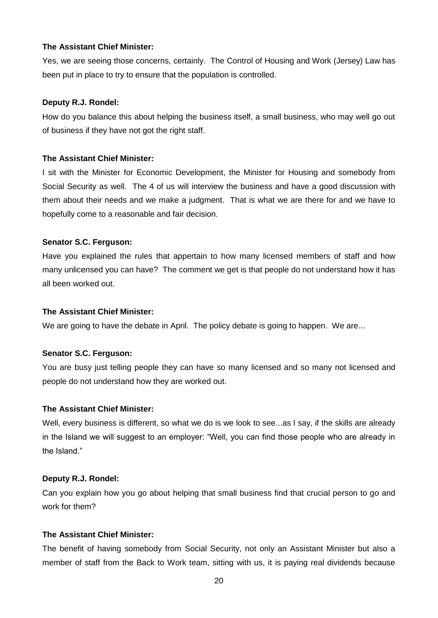#### **The Assistant Chief Minister:**

Yes, we are seeing those concerns, certainly. The Control of Housing and Work (Jersey) Law has been put in place to try to ensure that the population is controlled.

#### **Deputy R.J. Rondel:**

How do you balance this about helping the business itself, a small business, who may well go out of business if they have not got the right staff.

#### **The Assistant Chief Minister:**

I sit with the Minister for Economic Development, the Minister for Housing and somebody from Social Security as well. The 4 of us will interview the business and have a good discussion with them about their needs and we make a judgment. That is what we are there for and we have to hopefully come to a reasonable and fair decision.

#### **Senator S.C. Ferguson:**

Have you explained the rules that appertain to how many licensed members of staff and how many unlicensed you can have? The comment we get is that people do not understand how it has all been worked out.

#### **The Assistant Chief Minister:**

We are going to have the debate in April. The policy debate is going to happen. We are...

## **Senator S.C. Ferguson:**

You are busy just telling people they can have so many licensed and so many not licensed and people do not understand how they are worked out.

#### **The Assistant Chief Minister:**

Well, every business is different, so what we do is we look to see...as I say, if the skills are already in the Island we will suggest to an employer: "Well, you can find those people who are already in the Island."

## **Deputy R.J. Rondel:**

Can you explain how you go about helping that small business find that crucial person to go and work for them?

#### **The Assistant Chief Minister:**

The benefit of having somebody from Social Security, not only an Assistant Minister but also a member of staff from the Back to Work team, sitting with us, it is paying real dividends because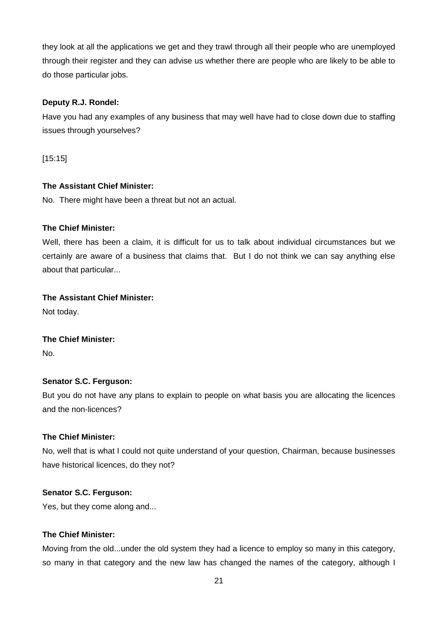they look at all the applications we get and they trawl through all their people who are unemployed through their register and they can advise us whether there are people who are likely to be able to do those particular jobs.

## **Deputy R.J. Rondel:**

Have you had any examples of any business that may well have had to close down due to staffing issues through yourselves?

[15:15]

## **The Assistant Chief Minister:**

No. There might have been a threat but not an actual.

## **The Chief Minister:**

Well, there has been a claim, it is difficult for us to talk about individual circumstances but we certainly are aware of a business that claims that. But I do not think we can say anything else about that particular...

## **The Assistant Chief Minister:**

Not today.

## **The Chief Minister:**

No.

## **Senator S.C. Ferguson:**

But you do not have any plans to explain to people on what basis you are allocating the licences and the non-licences?

## **The Chief Minister:**

No, well that is what I could not quite understand of your question, Chairman, because businesses have historical licences, do they not?

## **Senator S.C. Ferguson:**

Yes, but they come along and...

## **The Chief Minister:**

Moving from the old...under the old system they had a licence to employ so many in this category, so many in that category and the new law has changed the names of the category, although I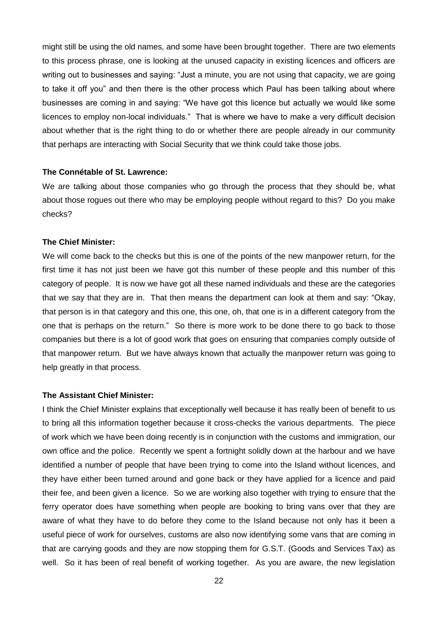might still be using the old names, and some have been brought together. There are two elements to this process phrase, one is looking at the unused capacity in existing licences and officers are writing out to businesses and saying: "Just a minute, you are not using that capacity, we are going to take it off you" and then there is the other process which Paul has been talking about where businesses are coming in and saying: "We have got this licence but actually we would like some licences to employ non-local individuals." That is where we have to make a very difficult decision about whether that is the right thing to do or whether there are people already in our community that perhaps are interacting with Social Security that we think could take those jobs.

#### **The Connétable of St. Lawrence:**

We are talking about those companies who go through the process that they should be, what about those rogues out there who may be employing people without regard to this? Do you make checks?

#### **The Chief Minister:**

We will come back to the checks but this is one of the points of the new manpower return, for the first time it has not just been we have got this number of these people and this number of this category of people. It is now we have got all these named individuals and these are the categories that we say that they are in. That then means the department can look at them and say: "Okay, that person is in that category and this one, this one, oh, that one is in a different category from the one that is perhaps on the return." So there is more work to be done there to go back to those companies but there is a lot of good work that goes on ensuring that companies comply outside of that manpower return. But we have always known that actually the manpower return was going to help greatly in that process.

#### **The Assistant Chief Minister:**

I think the Chief Minister explains that exceptionally well because it has really been of benefit to us to bring all this information together because it cross-checks the various departments. The piece of work which we have been doing recently is in conjunction with the customs and immigration, our own office and the police. Recently we spent a fortnight solidly down at the harbour and we have identified a number of people that have been trying to come into the Island without licences, and they have either been turned around and gone back or they have applied for a licence and paid their fee, and been given a licence. So we are working also together with trying to ensure that the ferry operator does have something when people are booking to bring vans over that they are aware of what they have to do before they come to the Island because not only has it been a useful piece of work for ourselves, customs are also now identifying some vans that are coming in that are carrying goods and they are now stopping them for G.S.T. (Goods and Services Tax) as well. So it has been of real benefit of working together. As you are aware, the new legislation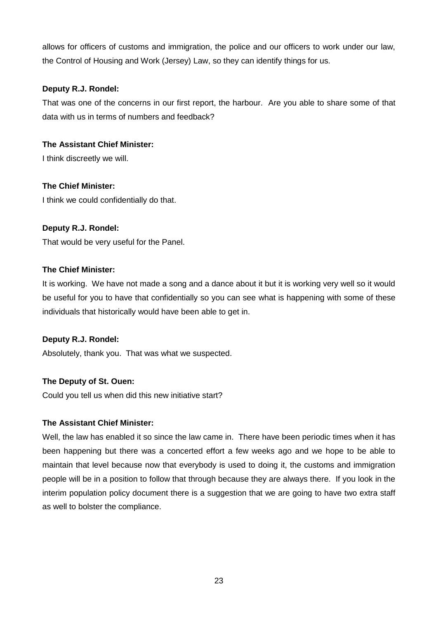allows for officers of customs and immigration, the police and our officers to work under our law, the Control of Housing and Work (Jersey) Law, so they can identify things for us.

## **Deputy R.J. Rondel:**

That was one of the concerns in our first report, the harbour. Are you able to share some of that data with us in terms of numbers and feedback?

## **The Assistant Chief Minister:**

I think discreetly we will.

## **The Chief Minister:**

I think we could confidentially do that.

## **Deputy R.J. Rondel:**

That would be very useful for the Panel.

## **The Chief Minister:**

It is working. We have not made a song and a dance about it but it is working very well so it would be useful for you to have that confidentially so you can see what is happening with some of these individuals that historically would have been able to get in.

## **Deputy R.J. Rondel:**

Absolutely, thank you. That was what we suspected.

## **The Deputy of St. Ouen:**

Could you tell us when did this new initiative start?

## **The Assistant Chief Minister:**

Well, the law has enabled it so since the law came in. There have been periodic times when it has been happening but there was a concerted effort a few weeks ago and we hope to be able to maintain that level because now that everybody is used to doing it, the customs and immigration people will be in a position to follow that through because they are always there. If you look in the interim population policy document there is a suggestion that we are going to have two extra staff as well to bolster the compliance.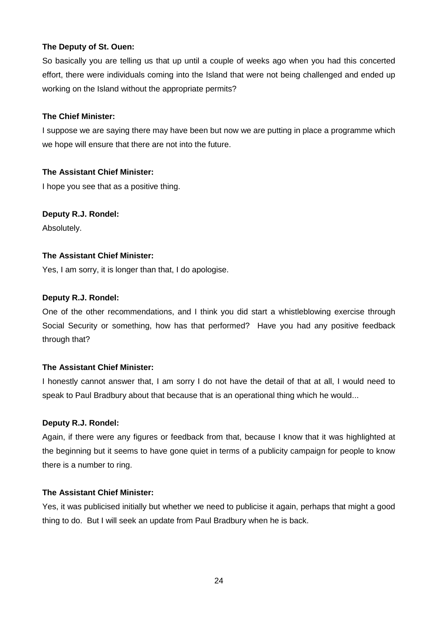So basically you are telling us that up until a couple of weeks ago when you had this concerted effort, there were individuals coming into the Island that were not being challenged and ended up working on the Island without the appropriate permits?

## **The Chief Minister:**

I suppose we are saying there may have been but now we are putting in place a programme which we hope will ensure that there are not into the future.

## **The Assistant Chief Minister:**

I hope you see that as a positive thing.

## **Deputy R.J. Rondel:**

Absolutely.

## **The Assistant Chief Minister:**

Yes, I am sorry, it is longer than that, I do apologise.

## **Deputy R.J. Rondel:**

One of the other recommendations, and I think you did start a whistleblowing exercise through Social Security or something, how has that performed? Have you had any positive feedback through that?

## **The Assistant Chief Minister:**

I honestly cannot answer that, I am sorry I do not have the detail of that at all, I would need to speak to Paul Bradbury about that because that is an operational thing which he would...

## **Deputy R.J. Rondel:**

Again, if there were any figures or feedback from that, because I know that it was highlighted at the beginning but it seems to have gone quiet in terms of a publicity campaign for people to know there is a number to ring.

## **The Assistant Chief Minister:**

Yes, it was publicised initially but whether we need to publicise it again, perhaps that might a good thing to do. But I will seek an update from Paul Bradbury when he is back.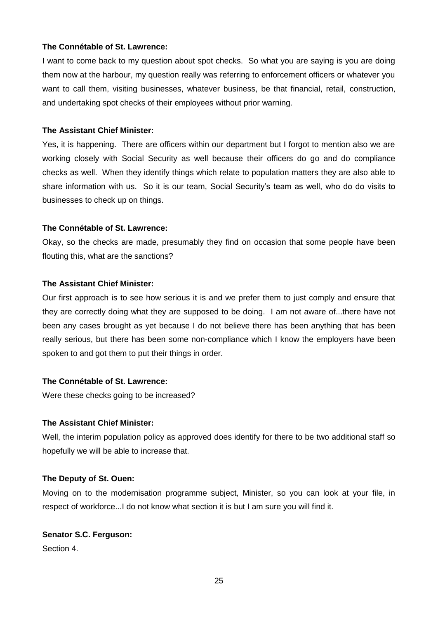## **The Connétable of St. Lawrence:**

I want to come back to my question about spot checks. So what you are saying is you are doing them now at the harbour, my question really was referring to enforcement officers or whatever you want to call them, visiting businesses, whatever business, be that financial, retail, construction, and undertaking spot checks of their employees without prior warning.

#### **The Assistant Chief Minister:**

Yes, it is happening. There are officers within our department but I forgot to mention also we are working closely with Social Security as well because their officers do go and do compliance checks as well. When they identify things which relate to population matters they are also able to share information with us. So it is our team, Social Security's team as well, who do do visits to businesses to check up on things.

#### **The Connétable of St. Lawrence:**

Okay, so the checks are made, presumably they find on occasion that some people have been flouting this, what are the sanctions?

#### **The Assistant Chief Minister:**

Our first approach is to see how serious it is and we prefer them to just comply and ensure that they are correctly doing what they are supposed to be doing. I am not aware of...there have not been any cases brought as yet because I do not believe there has been anything that has been really serious, but there has been some non-compliance which I know the employers have been spoken to and got them to put their things in order.

## **The Connétable of St. Lawrence:**

Were these checks going to be increased?

#### **The Assistant Chief Minister:**

Well, the interim population policy as approved does identify for there to be two additional staff so hopefully we will be able to increase that.

## **The Deputy of St. Ouen:**

Moving on to the modernisation programme subject, Minister, so you can look at your file, in respect of workforce...I do not know what section it is but I am sure you will find it.

#### **Senator S.C. Ferguson:**

Section 4.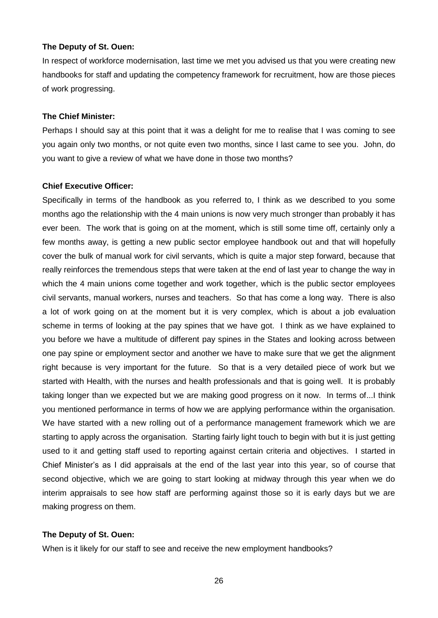In respect of workforce modernisation, last time we met you advised us that you were creating new handbooks for staff and updating the competency framework for recruitment, how are those pieces of work progressing.

## **The Chief Minister:**

Perhaps I should say at this point that it was a delight for me to realise that I was coming to see you again only two months, or not quite even two months, since I last came to see you. John, do you want to give a review of what we have done in those two months?

#### **Chief Executive Officer:**

Specifically in terms of the handbook as you referred to, I think as we described to you some months ago the relationship with the 4 main unions is now very much stronger than probably it has ever been. The work that is going on at the moment, which is still some time off, certainly only a few months away, is getting a new public sector employee handbook out and that will hopefully cover the bulk of manual work for civil servants, which is quite a major step forward, because that really reinforces the tremendous steps that were taken at the end of last year to change the way in which the 4 main unions come together and work together, which is the public sector employees civil servants, manual workers, nurses and teachers. So that has come a long way. There is also a lot of work going on at the moment but it is very complex, which is about a job evaluation scheme in terms of looking at the pay spines that we have got. I think as we have explained to you before we have a multitude of different pay spines in the States and looking across between one pay spine or employment sector and another we have to make sure that we get the alignment right because is very important for the future. So that is a very detailed piece of work but we started with Health, with the nurses and health professionals and that is going well. It is probably taking longer than we expected but we are making good progress on it now. In terms of...I think you mentioned performance in terms of how we are applying performance within the organisation. We have started with a new rolling out of a performance management framework which we are starting to apply across the organisation. Starting fairly light touch to begin with but it is just getting used to it and getting staff used to reporting against certain criteria and objectives. I started in Chief Minister's as I did appraisals at the end of the last year into this year, so of course that second objective, which we are going to start looking at midway through this year when we do interim appraisals to see how staff are performing against those so it is early days but we are making progress on them.

#### **The Deputy of St. Ouen:**

When is it likely for our staff to see and receive the new employment handbooks?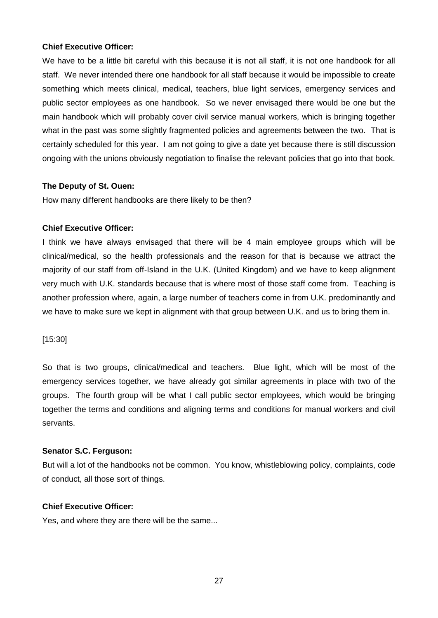## **Chief Executive Officer:**

We have to be a little bit careful with this because it is not all staff, it is not one handbook for all staff. We never intended there one handbook for all staff because it would be impossible to create something which meets clinical, medical, teachers, blue light services, emergency services and public sector employees as one handbook. So we never envisaged there would be one but the main handbook which will probably cover civil service manual workers, which is bringing together what in the past was some slightly fragmented policies and agreements between the two. That is certainly scheduled for this year. I am not going to give a date yet because there is still discussion ongoing with the unions obviously negotiation to finalise the relevant policies that go into that book.

#### **The Deputy of St. Ouen:**

How many different handbooks are there likely to be then?

#### **Chief Executive Officer:**

I think we have always envisaged that there will be 4 main employee groups which will be clinical/medical, so the health professionals and the reason for that is because we attract the majority of our staff from off-Island in the U.K. (United Kingdom) and we have to keep alignment very much with U.K. standards because that is where most of those staff come from. Teaching is another profession where, again, a large number of teachers come in from U.K. predominantly and we have to make sure we kept in alignment with that group between U.K. and us to bring them in.

[15:30]

So that is two groups, clinical/medical and teachers. Blue light, which will be most of the emergency services together, we have already got similar agreements in place with two of the groups. The fourth group will be what I call public sector employees, which would be bringing together the terms and conditions and aligning terms and conditions for manual workers and civil servants.

## **Senator S.C. Ferguson:**

But will a lot of the handbooks not be common. You know, whistleblowing policy, complaints, code of conduct, all those sort of things.

## **Chief Executive Officer:**

Yes, and where they are there will be the same...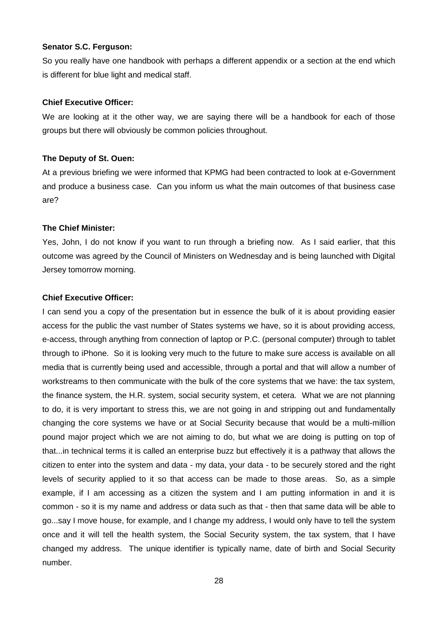#### **Senator S.C. Ferguson:**

So you really have one handbook with perhaps a different appendix or a section at the end which is different for blue light and medical staff.

#### **Chief Executive Officer:**

We are looking at it the other way, we are saying there will be a handbook for each of those groups but there will obviously be common policies throughout.

## **The Deputy of St. Ouen:**

At a previous briefing we were informed that KPMG had been contracted to look at e-Government and produce a business case. Can you inform us what the main outcomes of that business case are?

## **The Chief Minister:**

Yes, John, I do not know if you want to run through a briefing now. As I said earlier, that this outcome was agreed by the Council of Ministers on Wednesday and is being launched with Digital Jersey tomorrow morning.

## **Chief Executive Officer:**

I can send you a copy of the presentation but in essence the bulk of it is about providing easier access for the public the vast number of States systems we have, so it is about providing access, e-access, through anything from connection of laptop or P.C. (personal computer) through to tablet through to iPhone. So it is looking very much to the future to make sure access is available on all media that is currently being used and accessible, through a portal and that will allow a number of workstreams to then communicate with the bulk of the core systems that we have: the tax system, the finance system, the H.R. system, social security system, et cetera. What we are not planning to do, it is very important to stress this, we are not going in and stripping out and fundamentally changing the core systems we have or at Social Security because that would be a multi-million pound major project which we are not aiming to do, but what we are doing is putting on top of that...in technical terms it is called an enterprise buzz but effectively it is a pathway that allows the citizen to enter into the system and data - my data, your data - to be securely stored and the right levels of security applied to it so that access can be made to those areas. So, as a simple example, if I am accessing as a citizen the system and I am putting information in and it is common - so it is my name and address or data such as that - then that same data will be able to go...say I move house, for example, and I change my address, I would only have to tell the system once and it will tell the health system, the Social Security system, the tax system, that I have changed my address. The unique identifier is typically name, date of birth and Social Security number.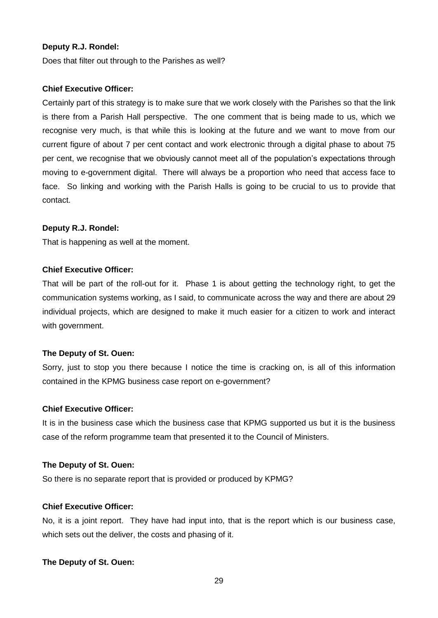#### **Deputy R.J. Rondel:**

Does that filter out through to the Parishes as well?

#### **Chief Executive Officer:**

Certainly part of this strategy is to make sure that we work closely with the Parishes so that the link is there from a Parish Hall perspective. The one comment that is being made to us, which we recognise very much, is that while this is looking at the future and we want to move from our current figure of about 7 per cent contact and work electronic through a digital phase to about 75 per cent, we recognise that we obviously cannot meet all of the population's expectations through moving to e-government digital. There will always be a proportion who need that access face to face. So linking and working with the Parish Halls is going to be crucial to us to provide that contact.

#### **Deputy R.J. Rondel:**

That is happening as well at the moment.

## **Chief Executive Officer:**

That will be part of the roll-out for it. Phase 1 is about getting the technology right, to get the communication systems working, as I said, to communicate across the way and there are about 29 individual projects, which are designed to make it much easier for a citizen to work and interact with government.

#### **The Deputy of St. Ouen:**

Sorry, just to stop you there because I notice the time is cracking on, is all of this information contained in the KPMG business case report on e-government?

#### **Chief Executive Officer:**

It is in the business case which the business case that KPMG supported us but it is the business case of the reform programme team that presented it to the Council of Ministers.

#### **The Deputy of St. Ouen:**

So there is no separate report that is provided or produced by KPMG?

#### **Chief Executive Officer:**

No, it is a joint report. They have had input into, that is the report which is our business case, which sets out the deliver, the costs and phasing of it.

#### **The Deputy of St. Ouen:**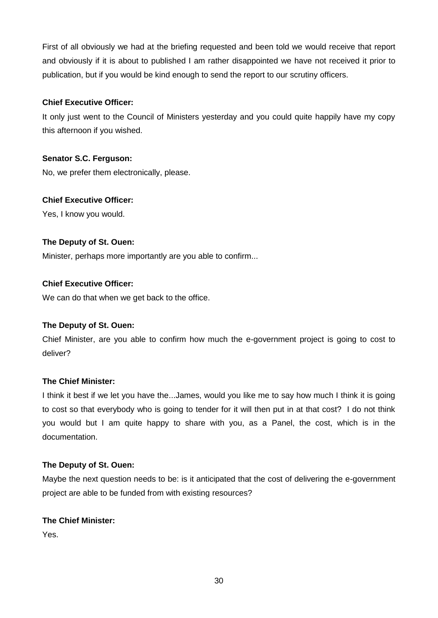First of all obviously we had at the briefing requested and been told we would receive that report and obviously if it is about to published I am rather disappointed we have not received it prior to publication, but if you would be kind enough to send the report to our scrutiny officers.

## **Chief Executive Officer:**

It only just went to the Council of Ministers yesterday and you could quite happily have my copy this afternoon if you wished.

## **Senator S.C. Ferguson:**

No, we prefer them electronically, please.

## **Chief Executive Officer:**

Yes, I know you would.

## **The Deputy of St. Ouen:**

Minister, perhaps more importantly are you able to confirm...

## **Chief Executive Officer:**

We can do that when we get back to the office.

## **The Deputy of St. Ouen:**

Chief Minister, are you able to confirm how much the e-government project is going to cost to deliver?

## **The Chief Minister:**

I think it best if we let you have the...James, would you like me to say how much I think it is going to cost so that everybody who is going to tender for it will then put in at that cost? I do not think you would but I am quite happy to share with you, as a Panel, the cost, which is in the documentation.

## **The Deputy of St. Ouen:**

Maybe the next question needs to be: is it anticipated that the cost of delivering the e-government project are able to be funded from with existing resources?

## **The Chief Minister:**

Yes.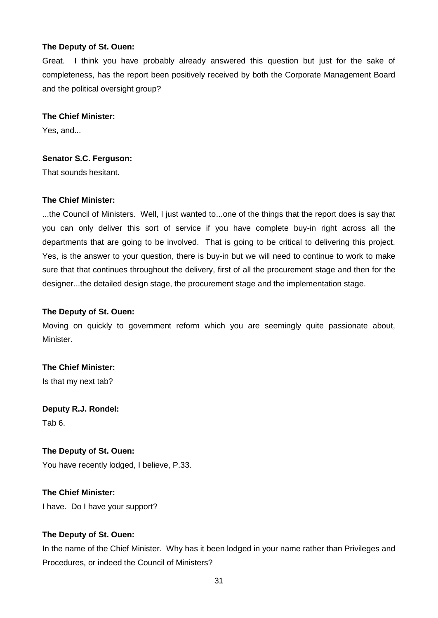Great. I think you have probably already answered this question but just for the sake of completeness, has the report been positively received by both the Corporate Management Board and the political oversight group?

#### **The Chief Minister:**

Yes, and...

#### **Senator S.C. Ferguson:**

That sounds hesitant.

## **The Chief Minister:**

...the Council of Ministers. Well, I just wanted to...one of the things that the report does is say that you can only deliver this sort of service if you have complete buy-in right across all the departments that are going to be involved. That is going to be critical to delivering this project. Yes, is the answer to your question, there is buy-in but we will need to continue to work to make sure that that continues throughout the delivery, first of all the procurement stage and then for the designer...the detailed design stage, the procurement stage and the implementation stage.

#### **The Deputy of St. Ouen:**

Moving on quickly to government reform which you are seemingly quite passionate about, Minister.

## **The Chief Minister:**

Is that my next tab?

**Deputy R.J. Rondel:** Tab 6.

#### **The Deputy of St. Ouen:**

You have recently lodged, I believe, P.33.

## **The Chief Minister:**

I have. Do I have your support?

## **The Deputy of St. Ouen:**

In the name of the Chief Minister. Why has it been lodged in your name rather than Privileges and Procedures, or indeed the Council of Ministers?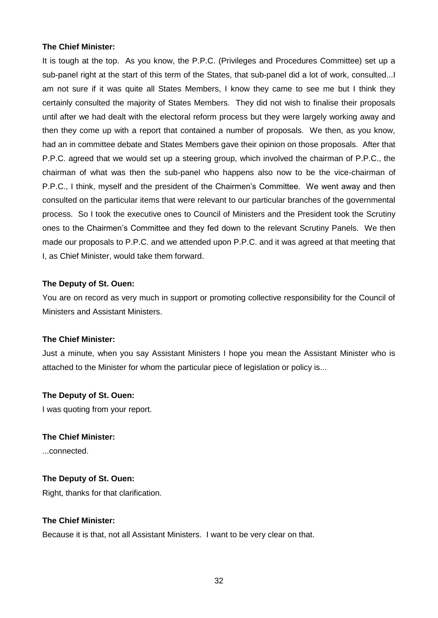It is tough at the top. As you know, the P.P.C. (Privileges and Procedures Committee) set up a sub-panel right at the start of this term of the States, that sub-panel did a lot of work, consulted...I am not sure if it was quite all States Members, I know they came to see me but I think they certainly consulted the majority of States Members. They did not wish to finalise their proposals until after we had dealt with the electoral reform process but they were largely working away and then they come up with a report that contained a number of proposals. We then, as you know, had an in committee debate and States Members gave their opinion on those proposals. After that P.P.C. agreed that we would set up a steering group, which involved the chairman of P.P.C., the chairman of what was then the sub-panel who happens also now to be the vice-chairman of P.P.C., I think, myself and the president of the Chairmen's Committee. We went away and then consulted on the particular items that were relevant to our particular branches of the governmental process. So I took the executive ones to Council of Ministers and the President took the Scrutiny ones to the Chairmen's Committee and they fed down to the relevant Scrutiny Panels. We then made our proposals to P.P.C. and we attended upon P.P.C. and it was agreed at that meeting that I, as Chief Minister, would take them forward.

#### **The Deputy of St. Ouen:**

You are on record as very much in support or promoting collective responsibility for the Council of Ministers and Assistant Ministers.

#### **The Chief Minister:**

Just a minute, when you say Assistant Ministers I hope you mean the Assistant Minister who is attached to the Minister for whom the particular piece of legislation or policy is...

#### **The Deputy of St. Ouen:**

I was quoting from your report.

#### **The Chief Minister:**

...connected.

#### **The Deputy of St. Ouen:**

Right, thanks for that clarification.

#### **The Chief Minister:**

Because it is that, not all Assistant Ministers. I want to be very clear on that.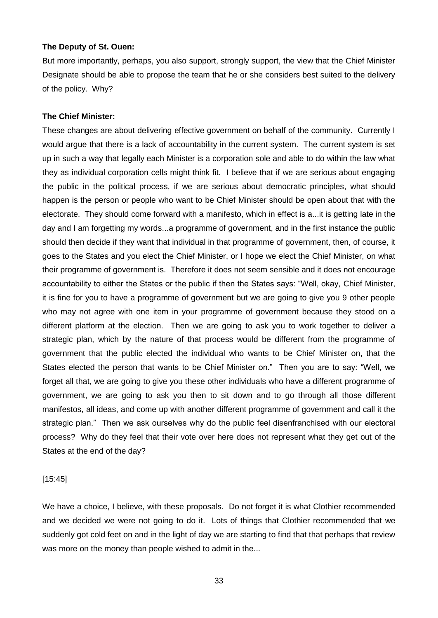But more importantly, perhaps, you also support, strongly support, the view that the Chief Minister Designate should be able to propose the team that he or she considers best suited to the delivery of the policy. Why?

## **The Chief Minister:**

These changes are about delivering effective government on behalf of the community. Currently I would argue that there is a lack of accountability in the current system. The current system is set up in such a way that legally each Minister is a corporation sole and able to do within the law what they as individual corporation cells might think fit. I believe that if we are serious about engaging the public in the political process, if we are serious about democratic principles, what should happen is the person or people who want to be Chief Minister should be open about that with the electorate. They should come forward with a manifesto, which in effect is a...it is getting late in the day and I am forgetting my words...a programme of government, and in the first instance the public should then decide if they want that individual in that programme of government, then, of course, it goes to the States and you elect the Chief Minister, or I hope we elect the Chief Minister, on what their programme of government is. Therefore it does not seem sensible and it does not encourage accountability to either the States or the public if then the States says: "Well, okay, Chief Minister, it is fine for you to have a programme of government but we are going to give you 9 other people who may not agree with one item in your programme of government because they stood on a different platform at the election. Then we are going to ask you to work together to deliver a strategic plan, which by the nature of that process would be different from the programme of government that the public elected the individual who wants to be Chief Minister on, that the States elected the person that wants to be Chief Minister on." Then you are to say: "Well, we forget all that, we are going to give you these other individuals who have a different programme of government, we are going to ask you then to sit down and to go through all those different manifestos, all ideas, and come up with another different programme of government and call it the strategic plan." Then we ask ourselves why do the public feel disenfranchised with our electoral process? Why do they feel that their vote over here does not represent what they get out of the States at the end of the day?

#### [15:45]

We have a choice, I believe, with these proposals. Do not forget it is what Clothier recommended and we decided we were not going to do it. Lots of things that Clothier recommended that we suddenly got cold feet on and in the light of day we are starting to find that that perhaps that review was more on the money than people wished to admit in the...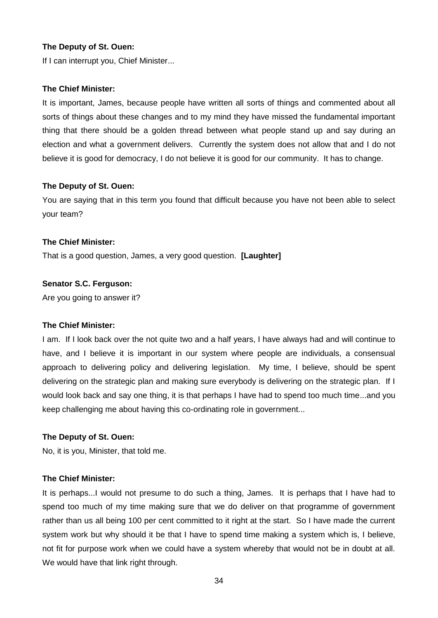If I can interrupt you, Chief Minister...

#### **The Chief Minister:**

It is important, James, because people have written all sorts of things and commented about all sorts of things about these changes and to my mind they have missed the fundamental important thing that there should be a golden thread between what people stand up and say during an election and what a government delivers. Currently the system does not allow that and I do not believe it is good for democracy, I do not believe it is good for our community. It has to change.

#### **The Deputy of St. Ouen:**

You are saying that in this term you found that difficult because you have not been able to select your team?

#### **The Chief Minister:**

That is a good question, James, a very good question. **[Laughter]**

#### **Senator S.C. Ferguson:**

Are you going to answer it?

#### **The Chief Minister:**

I am. If I look back over the not quite two and a half years, I have always had and will continue to have, and I believe it is important in our system where people are individuals, a consensual approach to delivering policy and delivering legislation. My time, I believe, should be spent delivering on the strategic plan and making sure everybody is delivering on the strategic plan. If I would look back and say one thing, it is that perhaps I have had to spend too much time...and you keep challenging me about having this co-ordinating role in government...

#### **The Deputy of St. Ouen:**

No, it is you, Minister, that told me.

#### **The Chief Minister:**

It is perhaps...I would not presume to do such a thing, James. It is perhaps that I have had to spend too much of my time making sure that we do deliver on that programme of government rather than us all being 100 per cent committed to it right at the start. So I have made the current system work but why should it be that I have to spend time making a system which is, I believe, not fit for purpose work when we could have a system whereby that would not be in doubt at all. We would have that link right through.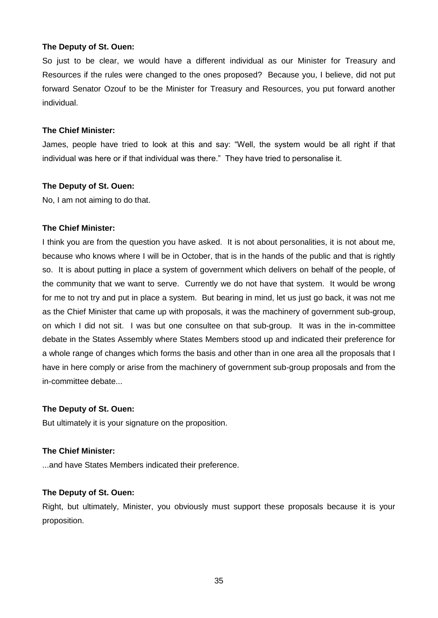So just to be clear, we would have a different individual as our Minister for Treasury and Resources if the rules were changed to the ones proposed? Because you, I believe, did not put forward Senator Ozouf to be the Minister for Treasury and Resources, you put forward another individual.

#### **The Chief Minister:**

James, people have tried to look at this and say: "Well, the system would be all right if that individual was here or if that individual was there." They have tried to personalise it.

#### **The Deputy of St. Ouen:**

No, I am not aiming to do that.

#### **The Chief Minister:**

I think you are from the question you have asked. It is not about personalities, it is not about me, because who knows where I will be in October, that is in the hands of the public and that is rightly so. It is about putting in place a system of government which delivers on behalf of the people, of the community that we want to serve. Currently we do not have that system. It would be wrong for me to not try and put in place a system. But bearing in mind, let us just go back, it was not me as the Chief Minister that came up with proposals, it was the machinery of government sub-group, on which I did not sit. I was but one consultee on that sub-group. It was in the in-committee debate in the States Assembly where States Members stood up and indicated their preference for a whole range of changes which forms the basis and other than in one area all the proposals that I have in here comply or arise from the machinery of government sub-group proposals and from the in-committee debate...

## **The Deputy of St. Ouen:**

But ultimately it is your signature on the proposition.

#### **The Chief Minister:**

...and have States Members indicated their preference.

## **The Deputy of St. Ouen:**

Right, but ultimately, Minister, you obviously must support these proposals because it is your proposition.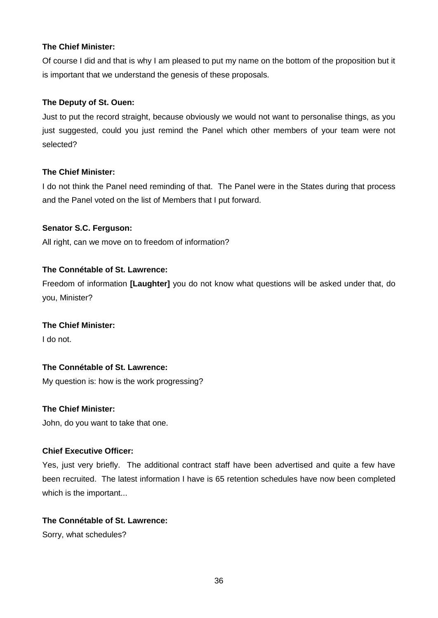Of course I did and that is why I am pleased to put my name on the bottom of the proposition but it is important that we understand the genesis of these proposals.

## **The Deputy of St. Ouen:**

Just to put the record straight, because obviously we would not want to personalise things, as you just suggested, could you just remind the Panel which other members of your team were not selected?

## **The Chief Minister:**

I do not think the Panel need reminding of that. The Panel were in the States during that process and the Panel voted on the list of Members that I put forward.

## **Senator S.C. Ferguson:**

All right, can we move on to freedom of information?

## **The Connétable of St. Lawrence:**

Freedom of information **[Laughter]** you do not know what questions will be asked under that, do you, Minister?

## **The Chief Minister:**

I do not.

## **The Connétable of St. Lawrence:**

My question is: how is the work progressing?

## **The Chief Minister:**

John, do you want to take that one.

## **Chief Executive Officer:**

Yes, just very briefly. The additional contract staff have been advertised and quite a few have been recruited. The latest information I have is 65 retention schedules have now been completed which is the important...

## **The Connétable of St. Lawrence:**

Sorry, what schedules?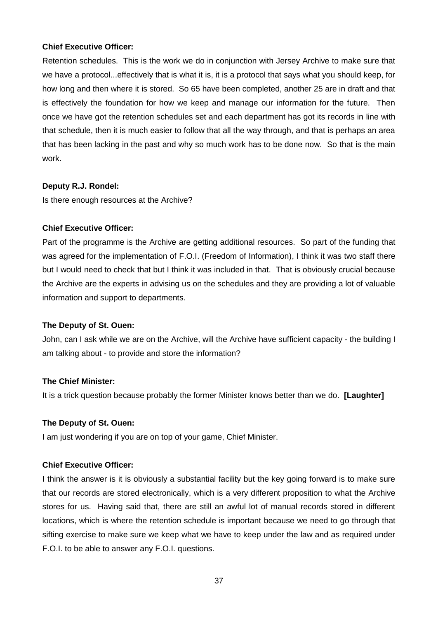## **Chief Executive Officer:**

Retention schedules. This is the work we do in conjunction with Jersey Archive to make sure that we have a protocol...effectively that is what it is, it is a protocol that says what you should keep, for how long and then where it is stored. So 65 have been completed, another 25 are in draft and that is effectively the foundation for how we keep and manage our information for the future. Then once we have got the retention schedules set and each department has got its records in line with that schedule, then it is much easier to follow that all the way through, and that is perhaps an area that has been lacking in the past and why so much work has to be done now. So that is the main work.

#### **Deputy R.J. Rondel:**

Is there enough resources at the Archive?

#### **Chief Executive Officer:**

Part of the programme is the Archive are getting additional resources. So part of the funding that was agreed for the implementation of F.O.I. (Freedom of Information), I think it was two staff there but I would need to check that but I think it was included in that. That is obviously crucial because the Archive are the experts in advising us on the schedules and they are providing a lot of valuable information and support to departments.

#### **The Deputy of St. Ouen:**

John, can I ask while we are on the Archive, will the Archive have sufficient capacity - the building I am talking about - to provide and store the information?

#### **The Chief Minister:**

It is a trick question because probably the former Minister knows better than we do. **[Laughter]**

#### **The Deputy of St. Ouen:**

I am just wondering if you are on top of your game, Chief Minister.

## **Chief Executive Officer:**

I think the answer is it is obviously a substantial facility but the key going forward is to make sure that our records are stored electronically, which is a very different proposition to what the Archive stores for us. Having said that, there are still an awful lot of manual records stored in different locations, which is where the retention schedule is important because we need to go through that sifting exercise to make sure we keep what we have to keep under the law and as required under F.O.I. to be able to answer any F.O.I. questions.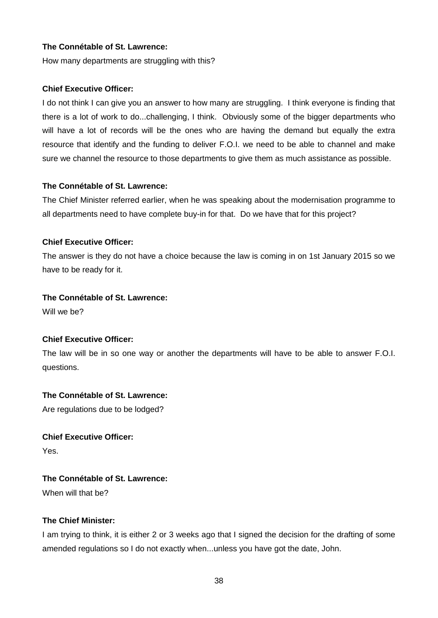## **The Connétable of St. Lawrence:**

How many departments are struggling with this?

## **Chief Executive Officer:**

I do not think I can give you an answer to how many are struggling. I think everyone is finding that there is a lot of work to do...challenging, I think. Obviously some of the bigger departments who will have a lot of records will be the ones who are having the demand but equally the extra resource that identify and the funding to deliver F.O.I. we need to be able to channel and make sure we channel the resource to those departments to give them as much assistance as possible.

## **The Connétable of St. Lawrence:**

The Chief Minister referred earlier, when he was speaking about the modernisation programme to all departments need to have complete buy-in for that. Do we have that for this project?

## **Chief Executive Officer:**

The answer is they do not have a choice because the law is coming in on 1st January 2015 so we have to be ready for it.

## **The Connétable of St. Lawrence:**

Will we he?

## **Chief Executive Officer:**

The law will be in so one way or another the departments will have to be able to answer F.O.I. questions.

## **The Connétable of St. Lawrence:**

Are regulations due to be lodged?

## **Chief Executive Officer:**

Yes.

## **The Connétable of St. Lawrence:**

When will that be?

## **The Chief Minister:**

I am trying to think, it is either 2 or 3 weeks ago that I signed the decision for the drafting of some amended regulations so I do not exactly when...unless you have got the date, John.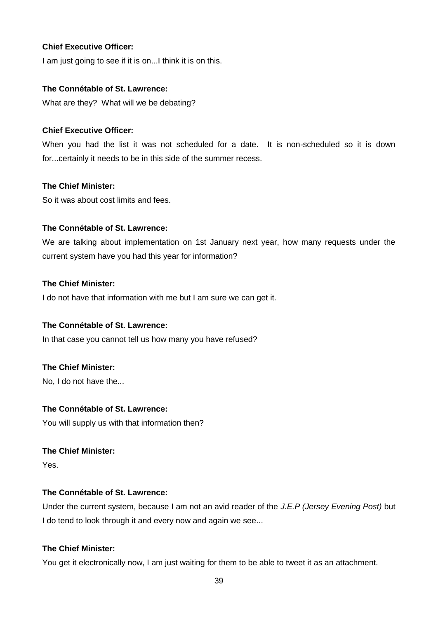## **Chief Executive Officer:**

I am just going to see if it is on...I think it is on this.

## **The Connétable of St. Lawrence:**

What are they? What will we be debating?

## **Chief Executive Officer:**

When you had the list it was not scheduled for a date. It is non-scheduled so it is down for...certainly it needs to be in this side of the summer recess.

## **The Chief Minister:**

So it was about cost limits and fees.

## **The Connétable of St. Lawrence:**

We are talking about implementation on 1st January next year, how many requests under the current system have you had this year for information?

## **The Chief Minister:**

I do not have that information with me but I am sure we can get it.

## **The Connétable of St. Lawrence:**

In that case you cannot tell us how many you have refused?

## **The Chief Minister:**

No, I do not have the...

## **The Connétable of St. Lawrence:**

You will supply us with that information then?

## **The Chief Minister:**

Yes.

## **The Connétable of St. Lawrence:**

Under the current system, because I am not an avid reader of the *J.E.P (Jersey Evening Post)* but I do tend to look through it and every now and again we see...

## **The Chief Minister:**

You get it electronically now, I am just waiting for them to be able to tweet it as an attachment.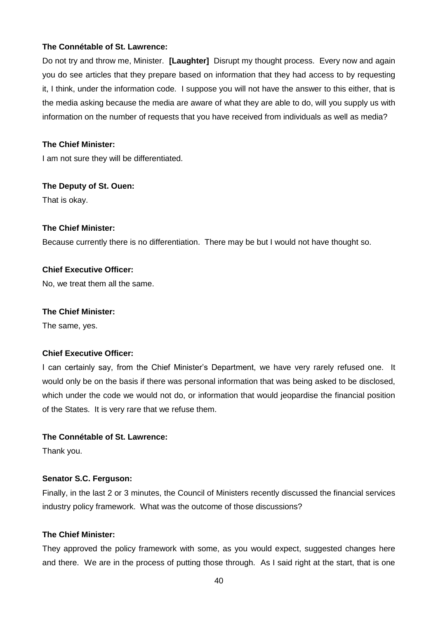## **The Connétable of St. Lawrence:**

Do not try and throw me, Minister. **[Laughter]** Disrupt my thought process. Every now and again you do see articles that they prepare based on information that they had access to by requesting it, I think, under the information code. I suppose you will not have the answer to this either, that is the media asking because the media are aware of what they are able to do, will you supply us with information on the number of requests that you have received from individuals as well as media?

## **The Chief Minister:**

I am not sure they will be differentiated.

## **The Deputy of St. Ouen:**

That is okay.

## **The Chief Minister:**

Because currently there is no differentiation. There may be but I would not have thought so.

## **Chief Executive Officer:**

No, we treat them all the same.

## **The Chief Minister:**

The same, yes.

## **Chief Executive Officer:**

I can certainly say, from the Chief Minister's Department, we have very rarely refused one. It would only be on the basis if there was personal information that was being asked to be disclosed, which under the code we would not do, or information that would jeopardise the financial position of the States. It is very rare that we refuse them.

## **The Connétable of St. Lawrence:**

Thank you.

## **Senator S.C. Ferguson:**

Finally, in the last 2 or 3 minutes, the Council of Ministers recently discussed the financial services industry policy framework. What was the outcome of those discussions?

## **The Chief Minister:**

They approved the policy framework with some, as you would expect, suggested changes here and there. We are in the process of putting those through. As I said right at the start, that is one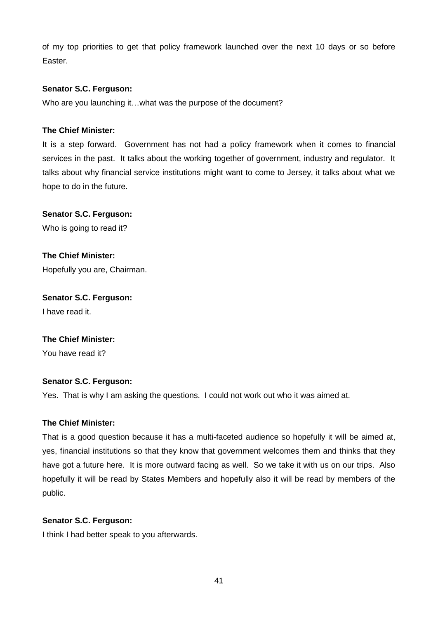of my top priorities to get that policy framework launched over the next 10 days or so before Easter.

## **Senator S.C. Ferguson:**

Who are you launching it…what was the purpose of the document?

## **The Chief Minister:**

It is a step forward. Government has not had a policy framework when it comes to financial services in the past. It talks about the working together of government, industry and regulator. It talks about why financial service institutions might want to come to Jersey, it talks about what we hope to do in the future.

## **Senator S.C. Ferguson:**

Who is going to read it?

**The Chief Minister:** Hopefully you are, Chairman.

**Senator S.C. Ferguson:** I have read it.

## **The Chief Minister:**

You have read it?

## **Senator S.C. Ferguson:**

Yes. That is why I am asking the questions. I could not work out who it was aimed at.

## **The Chief Minister:**

That is a good question because it has a multi-faceted audience so hopefully it will be aimed at, yes, financial institutions so that they know that government welcomes them and thinks that they have got a future here. It is more outward facing as well. So we take it with us on our trips. Also hopefully it will be read by States Members and hopefully also it will be read by members of the public.

## **Senator S.C. Ferguson:**

I think I had better speak to you afterwards.